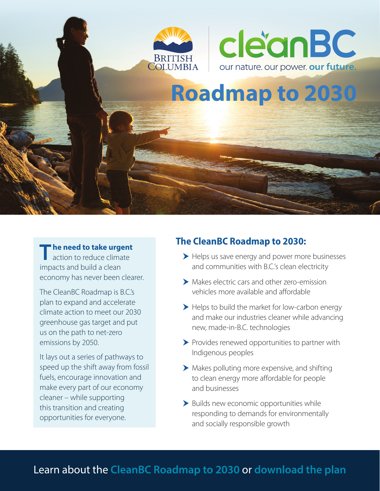



# **Roadmap Roadmap to 2030 to 2030**

#### **The need to take urgent**

action to reduce climate impacts and build a clean economy has never been clearer.

The CleanBC Roadmap is B.C.'s plan to expand and accelerate climate action to meet our 2030 greenhouse gas target and put us on the path to net-zero emissions by 2050.

It lays out a series of pathways to speed up the shift away from fossil fuels, encourage innovation and make every part of our economy cleaner – while supporting this transition and creating opportunities for everyone.

### **The CleanBC Roadmap to 2030:**

- Helps us save energy and power more businesses and communities with B.C.'s clean electricity
- Makes electric cars and other zero-emission vehicles more available and affordable
- Helps to build the market for low-carbon energy and make our industries cleaner while advancing new, made-in-B.C. technologies
- Provides renewed opportunities to partner with Indigenous peoples
- Makes polluting more expensive, and shifting to clean energy more affordable for people and businesses
- Builds new economic opportunities while responding to demands for environmentally and socially responsible growth

## Learn about the **[CleanBC Roadmap to 2030](https://cleanbc.gov.bc.ca/)** or **[download the plan](https://www2.gov.bc.ca/assets/download/7214635E396F447C8381949156310B8E)**